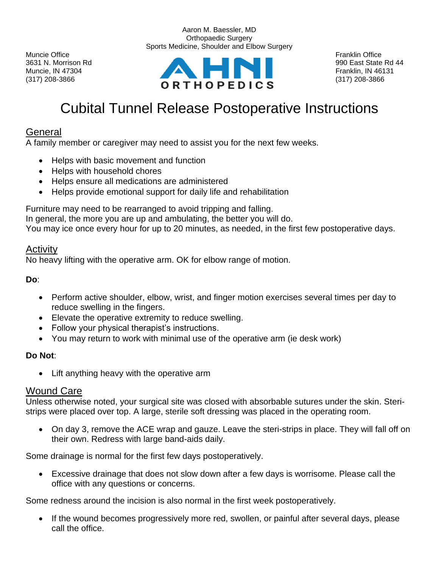

Aaron M. Baessler, MD Orthopaedic Surgery

# Cubital Tunnel Release Postoperative Instructions

# General

A family member or caregiver may need to assist you for the next few weeks.

- Helps with basic movement and function
- Helps with household chores
- Helps ensure all medications are administered
- Helps provide emotional support for daily life and rehabilitation

Furniture may need to be rearranged to avoid tripping and falling.

In general, the more you are up and ambulating, the better you will do.

You may ice once every hour for up to 20 minutes, as needed, in the first few postoperative days.

## Activity

No heavy lifting with the operative arm. OK for elbow range of motion.

**Do**:

- Perform active shoulder, elbow, wrist, and finger motion exercises several times per day to reduce swelling in the fingers.
- Elevate the operative extremity to reduce swelling.
- Follow your physical therapist's instructions.
- You may return to work with minimal use of the operative arm (ie desk work)

#### **Do Not**:

• Lift anything heavy with the operative arm

#### Wound Care

Unless otherwise noted, your surgical site was closed with absorbable sutures under the skin. Steristrips were placed over top. A large, sterile soft dressing was placed in the operating room.

• On day 3, remove the ACE wrap and gauze. Leave the steri-strips in place. They will fall off on their own. Redress with large band-aids daily.

Some drainage is normal for the first few days postoperatively.

• Excessive drainage that does not slow down after a few days is worrisome. Please call the office with any questions or concerns.

Some redness around the incision is also normal in the first week postoperatively.

• If the wound becomes progressively more red, swollen, or painful after several days, please call the office.